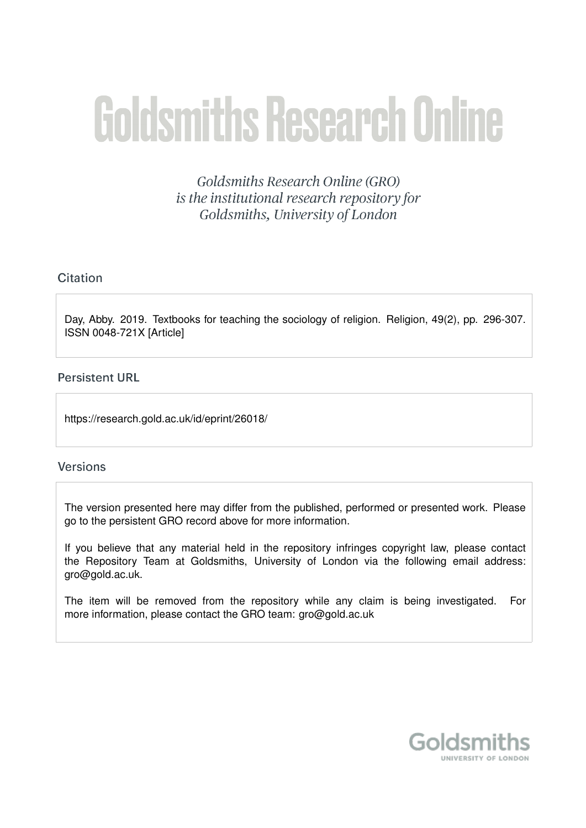# Goldsmiths Research Online

**Goldsmiths Research Online (GRO)** is the institutional research repository for Goldsmiths, University of London

# Citation

Day, Abby. 2019. Textbooks for teaching the sociology of religion. Religion, 49(2), pp. 296-307. ISSN 0048-721X [Article]

# **Persistent URL**

https://research.gold.ac.uk/id/eprint/26018/

# **Versions**

The version presented here may differ from the published, performed or presented work. Please go to the persistent GRO record above for more information.

If you believe that any material held in the repository infringes copyright law, please contact the Repository Team at Goldsmiths, University of London via the following email address: gro@gold.ac.uk.

The item will be removed from the repository while any claim is being investigated. For more information, please contact the GRO team: gro@gold.ac.uk

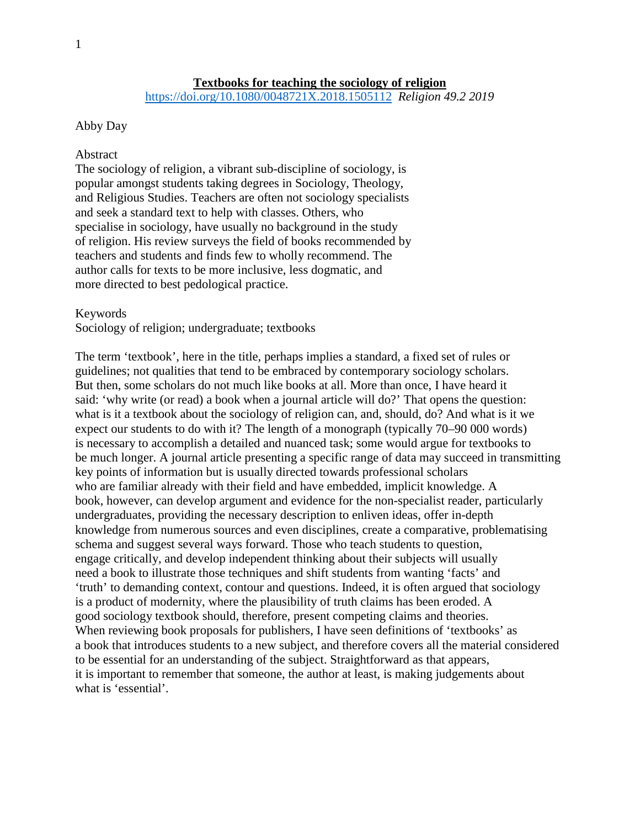#### **Textbooks for teaching the sociology of religion**

<https://doi.org/10.1080/0048721X.2018.1505112> *Religion 49.2 2019*

#### Abby Day

#### Abstract

The sociology of religion, a vibrant sub-discipline of sociology, is popular amongst students taking degrees in Sociology, Theology, and Religious Studies. Teachers are often not sociology specialists and seek a standard text to help with classes. Others, who specialise in sociology, have usually no background in the study of religion. His review surveys the field of books recommended by teachers and students and finds few to wholly recommend. The author calls for texts to be more inclusive, less dogmatic, and more directed to best pedological practice.

#### Keywords

Sociology of religion; undergraduate; textbooks

The term 'textbook', here in the title, perhaps implies a standard, a fixed set of rules or guidelines; not qualities that tend to be embraced by contemporary sociology scholars. But then, some scholars do not much like books at all. More than once, I have heard it said: 'why write (or read) a book when a journal article will do?' That opens the question: what is it a textbook about the sociology of religion can, and, should, do? And what is it we expect our students to do with it? The length of a monograph (typically 70–90 000 words) is necessary to accomplish a detailed and nuanced task; some would argue for textbooks to be much longer. A journal article presenting a specific range of data may succeed in transmitting key points of information but is usually directed towards professional scholars who are familiar already with their field and have embedded, implicit knowledge. A book, however, can develop argument and evidence for the non-specialist reader, particularly undergraduates, providing the necessary description to enliven ideas, offer in-depth knowledge from numerous sources and even disciplines, create a comparative, problematising schema and suggest several ways forward. Those who teach students to question, engage critically, and develop independent thinking about their subjects will usually need a book to illustrate those techniques and shift students from wanting 'facts' and 'truth' to demanding context, contour and questions. Indeed, it is often argued that sociology is a product of modernity, where the plausibility of truth claims has been eroded. A good sociology textbook should, therefore, present competing claims and theories. When reviewing book proposals for publishers, I have seen definitions of 'textbooks' as a book that introduces students to a new subject, and therefore covers all the material considered to be essential for an understanding of the subject. Straightforward as that appears, it is important to remember that someone, the author at least, is making judgements about what is 'essential'.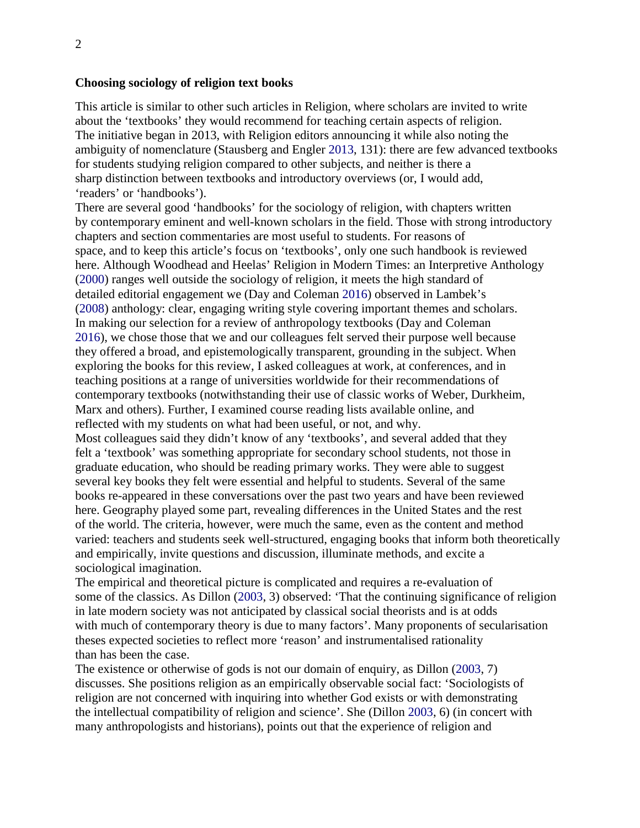#### **Choosing sociology of religion text books**

This article is similar to other such articles in Religion, where scholars are invited to write about the 'textbooks' they would recommend for teaching certain aspects of religion. The initiative began in 2013, with Religion editors announcing it while also noting the ambiguity of nomenclature (Stausberg and Engler 2013, 131): there are few advanced textbooks for students studying religion compared to other subjects, and neither is there a sharp distinction between textbooks and introductory overviews (or, I would add, 'readers' or 'handbooks').

There are several good 'handbooks' for the sociology of religion, with chapters written by contemporary eminent and well-known scholars in the field. Those with strong introductory chapters and section commentaries are most useful to students. For reasons of space, and to keep this article's focus on 'textbooks', only one such handbook is reviewed here. Although Woodhead and Heelas' Religion in Modern Times: an Interpretive Anthology (2000) ranges well outside the sociology of religion, it meets the high standard of detailed editorial engagement we (Day and Coleman 2016) observed in Lambek's (2008) anthology: clear, engaging writing style covering important themes and scholars. In making our selection for a review of anthropology textbooks (Day and Coleman 2016), we chose those that we and our colleagues felt served their purpose well because they offered a broad, and epistemologically transparent, grounding in the subject. When exploring the books for this review, I asked colleagues at work, at conferences, and in teaching positions at a range of universities worldwide for their recommendations of contemporary textbooks (notwithstanding their use of classic works of Weber, Durkheim, Marx and others). Further, I examined course reading lists available online, and reflected with my students on what had been useful, or not, and why. Most colleagues said they didn't know of any 'textbooks', and several added that they

felt a 'textbook' was something appropriate for secondary school students, not those in graduate education, who should be reading primary works. They were able to suggest several key books they felt were essential and helpful to students. Several of the same books re-appeared in these conversations over the past two years and have been reviewed here. Geography played some part, revealing differences in the United States and the rest of the world. The criteria, however, were much the same, even as the content and method varied: teachers and students seek well-structured, engaging books that inform both theoretically and empirically, invite questions and discussion, illuminate methods, and excite a sociological imagination.

The empirical and theoretical picture is complicated and requires a re-evaluation of some of the classics. As Dillon (2003, 3) observed: 'That the continuing significance of religion in late modern society was not anticipated by classical social theorists and is at odds with much of contemporary theory is due to many factors'. Many proponents of secularisation theses expected societies to reflect more 'reason' and instrumentalised rationality than has been the case.

The existence or otherwise of gods is not our domain of enquiry, as Dillon (2003, 7) discusses. She positions religion as an empirically observable social fact: 'Sociologists of religion are not concerned with inquiring into whether God exists or with demonstrating the intellectual compatibility of religion and science'. She (Dillon 2003, 6) (in concert with many anthropologists and historians), points out that the experience of religion and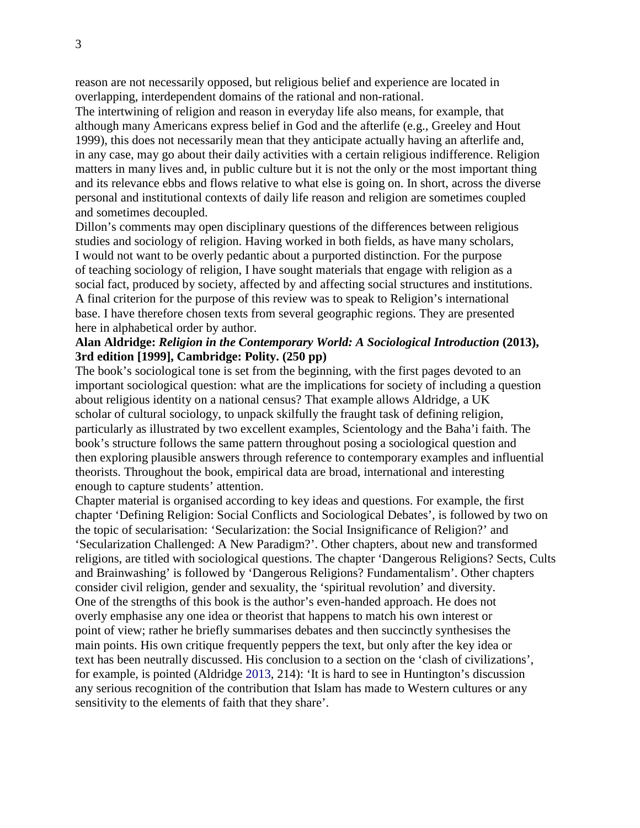reason are not necessarily opposed, but religious belief and experience are located in overlapping, interdependent domains of the rational and non-rational.

The intertwining of religion and reason in everyday life also means, for example, that although many Americans express belief in God and the afterlife (e.g., Greeley and Hout 1999), this does not necessarily mean that they anticipate actually having an afterlife and, in any case, may go about their daily activities with a certain religious indifference. Religion matters in many lives and, in public culture but it is not the only or the most important thing and its relevance ebbs and flows relative to what else is going on. In short, across the diverse personal and institutional contexts of daily life reason and religion are sometimes coupled and sometimes decoupled.

Dillon's comments may open disciplinary questions of the differences between religious studies and sociology of religion. Having worked in both fields, as have many scholars, I would not want to be overly pedantic about a purported distinction. For the purpose of teaching sociology of religion, I have sought materials that engage with religion as a social fact, produced by society, affected by and affecting social structures and institutions. A final criterion for the purpose of this review was to speak to Religion's international base. I have therefore chosen texts from several geographic regions. They are presented here in alphabetical order by author.

# **Alan Aldridge:** *Religion in the Contemporary World: A Sociological Introduction* **(2013), 3rd edition [1999], Cambridge: Polity. (250 pp)**

The book's sociological tone is set from the beginning, with the first pages devoted to an important sociological question: what are the implications for society of including a question about religious identity on a national census? That example allows Aldridge, a UK scholar of cultural sociology, to unpack skilfully the fraught task of defining religion, particularly as illustrated by two excellent examples, Scientology and the Baha'i faith. The book's structure follows the same pattern throughout posing a sociological question and then exploring plausible answers through reference to contemporary examples and influential theorists. Throughout the book, empirical data are broad, international and interesting enough to capture students' attention.

Chapter material is organised according to key ideas and questions. For example, the first chapter 'Defining Religion: Social Conflicts and Sociological Debates', is followed by two on the topic of secularisation: 'Secularization: the Social Insignificance of Religion?' and 'Secularization Challenged: A New Paradigm?'. Other chapters, about new and transformed religions, are titled with sociological questions. The chapter 'Dangerous Religions? Sects, Cults and Brainwashing' is followed by 'Dangerous Religions? Fundamentalism'. Other chapters consider civil religion, gender and sexuality, the 'spiritual revolution' and diversity. One of the strengths of this book is the author's even-handed approach. He does not overly emphasise any one idea or theorist that happens to match his own interest or point of view; rather he briefly summarises debates and then succinctly synthesises the main points. His own critique frequently peppers the text, but only after the key idea or text has been neutrally discussed. His conclusion to a section on the 'clash of civilizations', for example, is pointed (Aldridge 2013, 214): 'It is hard to see in Huntington's discussion any serious recognition of the contribution that Islam has made to Western cultures or any sensitivity to the elements of faith that they share'.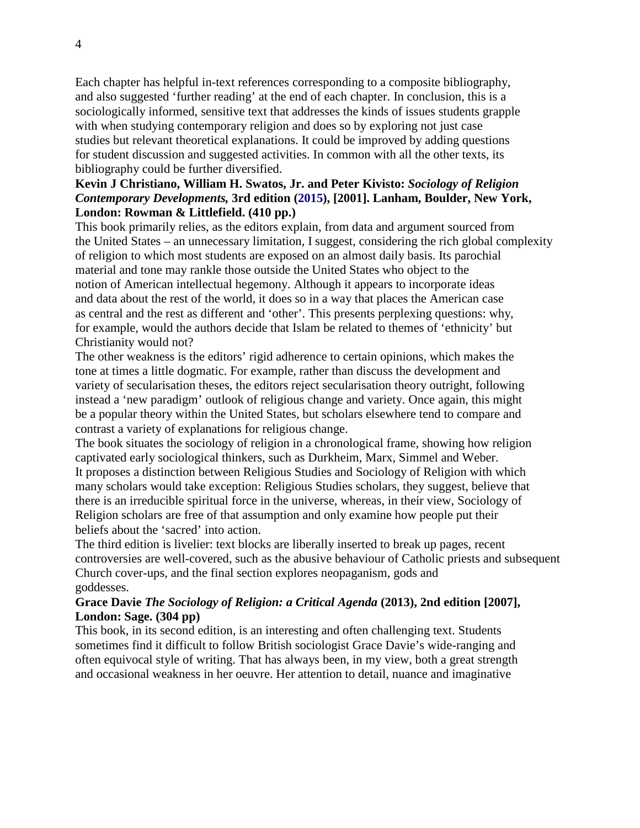Each chapter has helpful in-text references corresponding to a composite bibliography, and also suggested 'further reading' at the end of each chapter. In conclusion, this is a sociologically informed, sensitive text that addresses the kinds of issues students grapple with when studying contemporary religion and does so by exploring not just case studies but relevant theoretical explanations. It could be improved by adding questions for student discussion and suggested activities. In common with all the other texts, its bibliography could be further diversified.

## **Kevin J Christiano, William H. Swatos, Jr. and Peter Kivisto:** *Sociology of Religion Contemporary Developments,* **3rd edition (2015), [2001]. Lanham, Boulder, New York, London: Rowman & Littlefield. (410 pp.)**

This book primarily relies, as the editors explain, from data and argument sourced from the United States – an unnecessary limitation, I suggest, considering the rich global complexity of religion to which most students are exposed on an almost daily basis. Its parochial material and tone may rankle those outside the United States who object to the notion of American intellectual hegemony. Although it appears to incorporate ideas and data about the rest of the world, it does so in a way that places the American case as central and the rest as different and 'other'. This presents perplexing questions: why, for example, would the authors decide that Islam be related to themes of 'ethnicity' but Christianity would not?

The other weakness is the editors' rigid adherence to certain opinions, which makes the tone at times a little dogmatic. For example, rather than discuss the development and variety of secularisation theses, the editors reject secularisation theory outright, following instead a 'new paradigm' outlook of religious change and variety. Once again, this might be a popular theory within the United States, but scholars elsewhere tend to compare and contrast a variety of explanations for religious change.

The book situates the sociology of religion in a chronological frame, showing how religion captivated early sociological thinkers, such as Durkheim, Marx, Simmel and Weber. It proposes a distinction between Religious Studies and Sociology of Religion with which many scholars would take exception: Religious Studies scholars, they suggest, believe that there is an irreducible spiritual force in the universe, whereas, in their view, Sociology of Religion scholars are free of that assumption and only examine how people put their beliefs about the 'sacred' into action.

The third edition is livelier: text blocks are liberally inserted to break up pages, recent controversies are well-covered, such as the abusive behaviour of Catholic priests and subsequent Church cover-ups, and the final section explores neopaganism, gods and goddesses.

## **Grace Davie** *The Sociology of Religion: a Critical Agenda* **(2013), 2nd edition [2007], London: Sage. (304 pp)**

This book, in its second edition, is an interesting and often challenging text. Students sometimes find it difficult to follow British sociologist Grace Davie's wide-ranging and often equivocal style of writing. That has always been, in my view, both a great strength and occasional weakness in her oeuvre. Her attention to detail, nuance and imaginative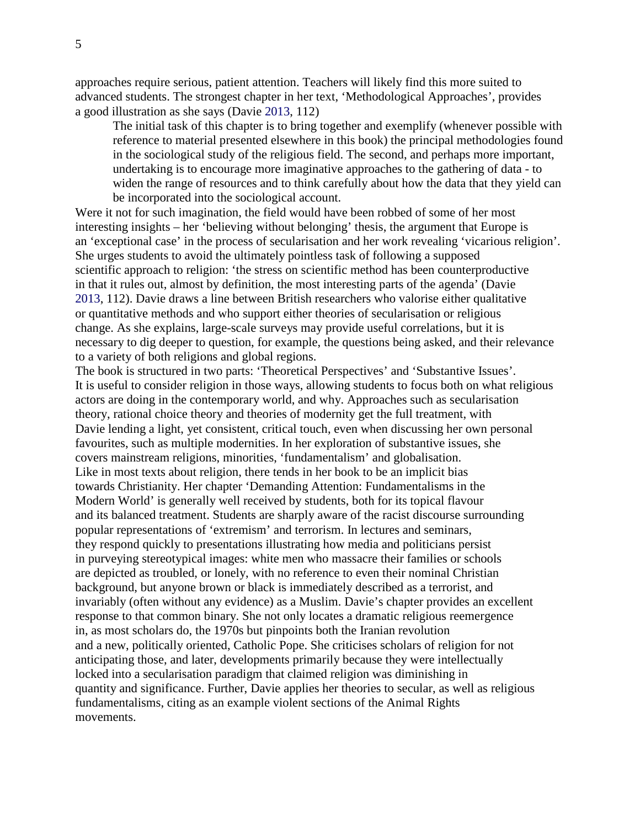approaches require serious, patient attention. Teachers will likely find this more suited to advanced students. The strongest chapter in her text, 'Methodological Approaches', provides a good illustration as she says (Davie 2013, 112)

The initial task of this chapter is to bring together and exemplify (whenever possible with reference to material presented elsewhere in this book) the principal methodologies found in the sociological study of the religious field. The second, and perhaps more important, undertaking is to encourage more imaginative approaches to the gathering of data - to widen the range of resources and to think carefully about how the data that they yield can be incorporated into the sociological account.

Were it not for such imagination, the field would have been robbed of some of her most interesting insights – her 'believing without belonging' thesis, the argument that Europe is an 'exceptional case' in the process of secularisation and her work revealing 'vicarious religion'. She urges students to avoid the ultimately pointless task of following a supposed scientific approach to religion: 'the stress on scientific method has been counterproductive in that it rules out, almost by definition, the most interesting parts of the agenda' (Davie 2013, 112). Davie draws a line between British researchers who valorise either qualitative or quantitative methods and who support either theories of secularisation or religious change. As she explains, large-scale surveys may provide useful correlations, but it is necessary to dig deeper to question, for example, the questions being asked, and their relevance to a variety of both religions and global regions.

The book is structured in two parts: 'Theoretical Perspectives' and 'Substantive Issues'. It is useful to consider religion in those ways, allowing students to focus both on what religious actors are doing in the contemporary world, and why. Approaches such as secularisation theory, rational choice theory and theories of modernity get the full treatment, with Davie lending a light, yet consistent, critical touch, even when discussing her own personal favourites, such as multiple modernities. In her exploration of substantive issues, she covers mainstream religions, minorities, 'fundamentalism' and globalisation. Like in most texts about religion, there tends in her book to be an implicit bias towards Christianity. Her chapter 'Demanding Attention: Fundamentalisms in the Modern World' is generally well received by students, both for its topical flavour and its balanced treatment. Students are sharply aware of the racist discourse surrounding popular representations of 'extremism' and terrorism. In lectures and seminars, they respond quickly to presentations illustrating how media and politicians persist in purveying stereotypical images: white men who massacre their families or schools are depicted as troubled, or lonely, with no reference to even their nominal Christian background, but anyone brown or black is immediately described as a terrorist, and invariably (often without any evidence) as a Muslim. Davie's chapter provides an excellent response to that common binary. She not only locates a dramatic religious reemergence in, as most scholars do, the 1970s but pinpoints both the Iranian revolution and a new, politically oriented, Catholic Pope. She criticises scholars of religion for not anticipating those, and later, developments primarily because they were intellectually locked into a secularisation paradigm that claimed religion was diminishing in quantity and significance. Further, Davie applies her theories to secular, as well as religious fundamentalisms, citing as an example violent sections of the Animal Rights movements.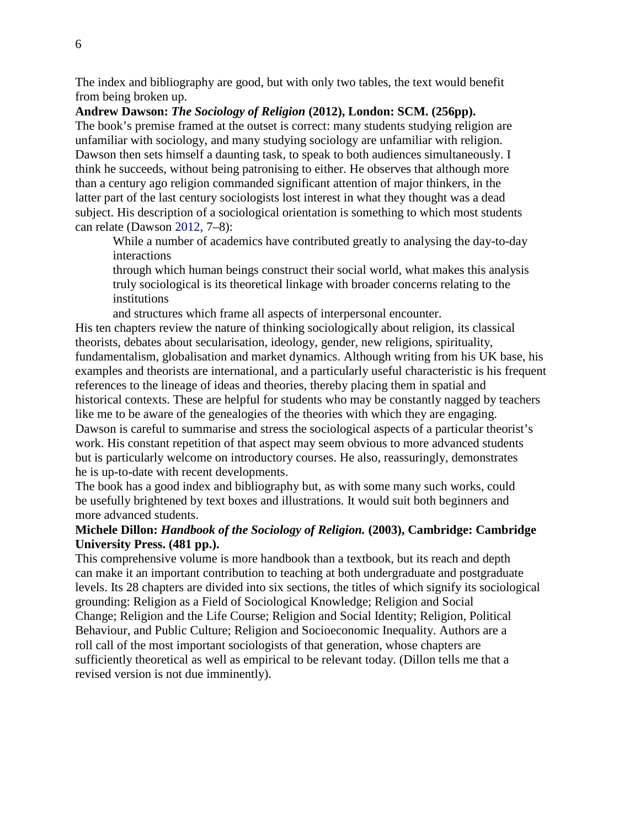The index and bibliography are good, but with only two tables, the text would benefit from being broken up.

#### **Andrew Dawson:** *The Sociology of Religion* **(2012), London: SCM. (256pp).**

The book's premise framed at the outset is correct: many students studying religion are unfamiliar with sociology, and many studying sociology are unfamiliar with religion. Dawson then sets himself a daunting task, to speak to both audiences simultaneously. I think he succeeds, without being patronising to either. He observes that although more than a century ago religion commanded significant attention of major thinkers, in the latter part of the last century sociologists lost interest in what they thought was a dead subject. His description of a sociological orientation is something to which most students can relate (Dawson 2012, 7–8):

While a number of academics have contributed greatly to analysing the day-to-day interactions

through which human beings construct their social world, what makes this analysis truly sociological is its theoretical linkage with broader concerns relating to the institutions

and structures which frame all aspects of interpersonal encounter.

His ten chapters review the nature of thinking sociologically about religion, its classical theorists, debates about secularisation, ideology, gender, new religions, spirituality, fundamentalism, globalisation and market dynamics. Although writing from his UK base, his examples and theorists are international, and a particularly useful characteristic is his frequent references to the lineage of ideas and theories, thereby placing them in spatial and historical contexts. These are helpful for students who may be constantly nagged by teachers like me to be aware of the genealogies of the theories with which they are engaging. Dawson is careful to summarise and stress the sociological aspects of a particular theorist's work. His constant repetition of that aspect may seem obvious to more advanced students but is particularly welcome on introductory courses. He also, reassuringly, demonstrates he is up-to-date with recent developments.

The book has a good index and bibliography but, as with some many such works, could be usefully brightened by text boxes and illustrations. It would suit both beginners and more advanced students.

#### **Michele Dillon:** *Handbook of the Sociology of Religion.* **(2003), Cambridge: Cambridge University Press. (481 pp.).**

This comprehensive volume is more handbook than a textbook, but its reach and depth can make it an important contribution to teaching at both undergraduate and postgraduate levels. Its 28 chapters are divided into six sections, the titles of which signify its sociological grounding: Religion as a Field of Sociological Knowledge; Religion and Social Change; Religion and the Life Course; Religion and Social Identity; Religion, Political Behaviour, and Public Culture; Religion and Socioeconomic Inequality. Authors are a roll call of the most important sociologists of that generation, whose chapters are sufficiently theoretical as well as empirical to be relevant today. (Dillon tells me that a revised version is not due imminently).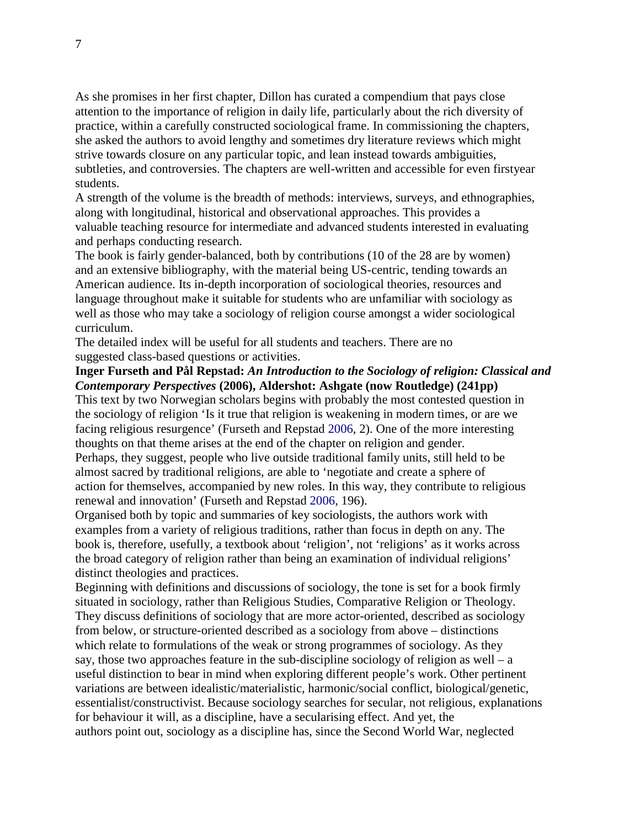As she promises in her first chapter, Dillon has curated a compendium that pays close attention to the importance of religion in daily life, particularly about the rich diversity of practice, within a carefully constructed sociological frame. In commissioning the chapters, she asked the authors to avoid lengthy and sometimes dry literature reviews which might strive towards closure on any particular topic, and lean instead towards ambiguities, subtleties, and controversies. The chapters are well-written and accessible for even firstyear students.

A strength of the volume is the breadth of methods: interviews, surveys, and ethnographies, along with longitudinal, historical and observational approaches. This provides a valuable teaching resource for intermediate and advanced students interested in evaluating and perhaps conducting research.

The book is fairly gender-balanced, both by contributions (10 of the 28 are by women) and an extensive bibliography, with the material being US-centric, tending towards an American audience. Its in-depth incorporation of sociological theories, resources and language throughout make it suitable for students who are unfamiliar with sociology as well as those who may take a sociology of religion course amongst a wider sociological curriculum.

The detailed index will be useful for all students and teachers. There are no suggested class-based questions or activities.

## **Inger Furseth and Pål Repstad:** *An Introduction to the Sociology of religion: Classical and Contemporary Perspectives* **(2006), Aldershot: Ashgate (now Routledge) (241pp)**

This text by two Norwegian scholars begins with probably the most contested question in the sociology of religion 'Is it true that religion is weakening in modern times, or are we facing religious resurgence' (Furseth and Repstad 2006, 2). One of the more interesting thoughts on that theme arises at the end of the chapter on religion and gender. Perhaps, they suggest, people who live outside traditional family units, still held to be almost sacred by traditional religions, are able to 'negotiate and create a sphere of action for themselves, accompanied by new roles. In this way, they contribute to religious renewal and innovation' (Furseth and Repstad 2006, 196).

Organised both by topic and summaries of key sociologists, the authors work with examples from a variety of religious traditions, rather than focus in depth on any. The book is, therefore, usefully, a textbook about 'religion', not 'religions' as it works across the broad category of religion rather than being an examination of individual religions' distinct theologies and practices.

Beginning with definitions and discussions of sociology, the tone is set for a book firmly situated in sociology, rather than Religious Studies, Comparative Religion or Theology. They discuss definitions of sociology that are more actor-oriented, described as sociology from below, or structure-oriented described as a sociology from above – distinctions which relate to formulations of the weak or strong programmes of sociology. As they say, those two approaches feature in the sub-discipline sociology of religion as well – a useful distinction to bear in mind when exploring different people's work. Other pertinent variations are between idealistic/materialistic, harmonic/social conflict, biological/genetic, essentialist/constructivist. Because sociology searches for secular, not religious, explanations for behaviour it will, as a discipline, have a secularising effect. And yet, the authors point out, sociology as a discipline has, since the Second World War, neglected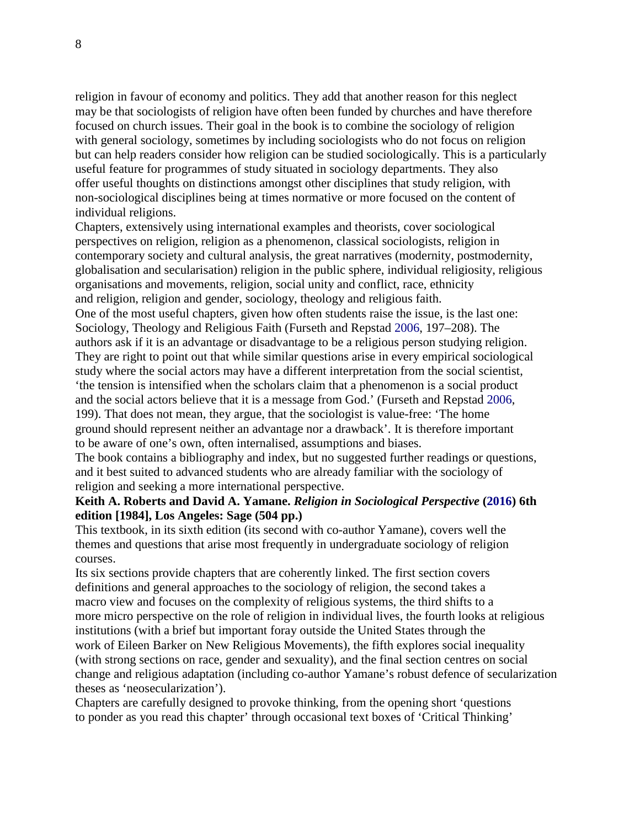religion in favour of economy and politics. They add that another reason for this neglect may be that sociologists of religion have often been funded by churches and have therefore focused on church issues. Their goal in the book is to combine the sociology of religion with general sociology, sometimes by including sociologists who do not focus on religion but can help readers consider how religion can be studied sociologically. This is a particularly useful feature for programmes of study situated in sociology departments. They also offer useful thoughts on distinctions amongst other disciplines that study religion, with non-sociological disciplines being at times normative or more focused on the content of individual religions.

Chapters, extensively using international examples and theorists, cover sociological perspectives on religion, religion as a phenomenon, classical sociologists, religion in contemporary society and cultural analysis, the great narratives (modernity, postmodernity, globalisation and secularisation) religion in the public sphere, individual religiosity, religious organisations and movements, religion, social unity and conflict, race, ethnicity and religion, religion and gender, sociology, theology and religious faith. One of the most useful chapters, given how often students raise the issue, is the last one: Sociology, Theology and Religious Faith (Furseth and Repstad 2006, 197–208). The authors ask if it is an advantage or disadvantage to be a religious person studying religion. They are right to point out that while similar questions arise in every empirical sociological study where the social actors may have a different interpretation from the social scientist, 'the tension is intensified when the scholars claim that a phenomenon is a social product and the social actors believe that it is a message from God.' (Furseth and Repstad 2006, 199). That does not mean, they argue, that the sociologist is value-free: 'The home ground should represent neither an advantage nor a drawback'. It is therefore important to be aware of one's own, often internalised, assumptions and biases.

The book contains a bibliography and index, but no suggested further readings or questions, and it best suited to advanced students who are already familiar with the sociology of religion and seeking a more international perspective.

## **Keith A. Roberts and David A. Yamane.** *Religion in Sociological Perspective* **(2016) 6th edition [1984], Los Angeles: Sage (504 pp.)**

This textbook, in its sixth edition (its second with co-author Yamane), covers well the themes and questions that arise most frequently in undergraduate sociology of religion courses.

Its six sections provide chapters that are coherently linked. The first section covers definitions and general approaches to the sociology of religion, the second takes a macro view and focuses on the complexity of religious systems, the third shifts to a more micro perspective on the role of religion in individual lives, the fourth looks at religious institutions (with a brief but important foray outside the United States through the work of Eileen Barker on New Religious Movements), the fifth explores social inequality (with strong sections on race, gender and sexuality), and the final section centres on social change and religious adaptation (including co-author Yamane's robust defence of secularization theses as 'neosecularization').

Chapters are carefully designed to provoke thinking, from the opening short 'questions to ponder as you read this chapter' through occasional text boxes of 'Critical Thinking'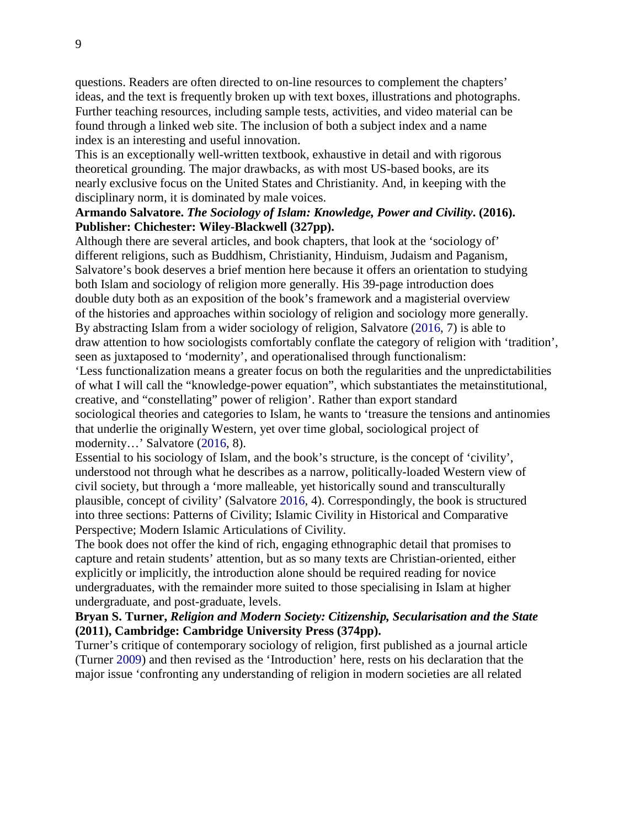questions. Readers are often directed to on-line resources to complement the chapters' ideas, and the text is frequently broken up with text boxes, illustrations and photographs. Further teaching resources, including sample tests, activities, and video material can be found through a linked web site. The inclusion of both a subject index and a name index is an interesting and useful innovation.

This is an exceptionally well-written textbook, exhaustive in detail and with rigorous theoretical grounding. The major drawbacks, as with most US-based books, are its nearly exclusive focus on the United States and Christianity. And, in keeping with the disciplinary norm, it is dominated by male voices.

### **Armando Salvatore.** *The Sociology of Islam: Knowledge, Power and Civility***. (2016). Publisher: Chichester: Wiley-Blackwell (327pp).**

Although there are several articles, and book chapters, that look at the 'sociology of' different religions, such as Buddhism, Christianity, Hinduism, Judaism and Paganism, Salvatore's book deserves a brief mention here because it offers an orientation to studying both Islam and sociology of religion more generally. His 39-page introduction does double duty both as an exposition of the book's framework and a magisterial overview of the histories and approaches within sociology of religion and sociology more generally. By abstracting Islam from a wider sociology of religion, Salvatore (2016, 7) is able to draw attention to how sociologists comfortably conflate the category of religion with 'tradition', seen as juxtaposed to 'modernity', and operationalised through functionalism:

'Less functionalization means a greater focus on both the regularities and the unpredictabilities of what I will call the "knowledge-power equation", which substantiates the metainstitutional, creative, and "constellating" power of religion'. Rather than export standard sociological theories and categories to Islam, he wants to 'treasure the tensions and antinomies that underlie the originally Western, yet over time global, sociological project of modernity...' Salvatore (2016, 8).

Essential to his sociology of Islam, and the book's structure, is the concept of 'civility', understood not through what he describes as a narrow, politically-loaded Western view of civil society, but through a 'more malleable, yet historically sound and transculturally plausible, concept of civility' (Salvatore 2016, 4). Correspondingly, the book is structured into three sections: Patterns of Civility; Islamic Civility in Historical and Comparative Perspective; Modern Islamic Articulations of Civility.

The book does not offer the kind of rich, engaging ethnographic detail that promises to capture and retain students' attention, but as so many texts are Christian-oriented, either explicitly or implicitly, the introduction alone should be required reading for novice undergraduates, with the remainder more suited to those specialising in Islam at higher undergraduate, and post-graduate, levels.

### **Bryan S. Turner,** *Religion and Modern Society: Citizenship, Secularisation and the State* **(2011), Cambridge: Cambridge University Press (374pp).**

Turner's critique of contemporary sociology of religion, first published as a journal article (Turner 2009) and then revised as the 'Introduction' here, rests on his declaration that the major issue 'confronting any understanding of religion in modern societies are all related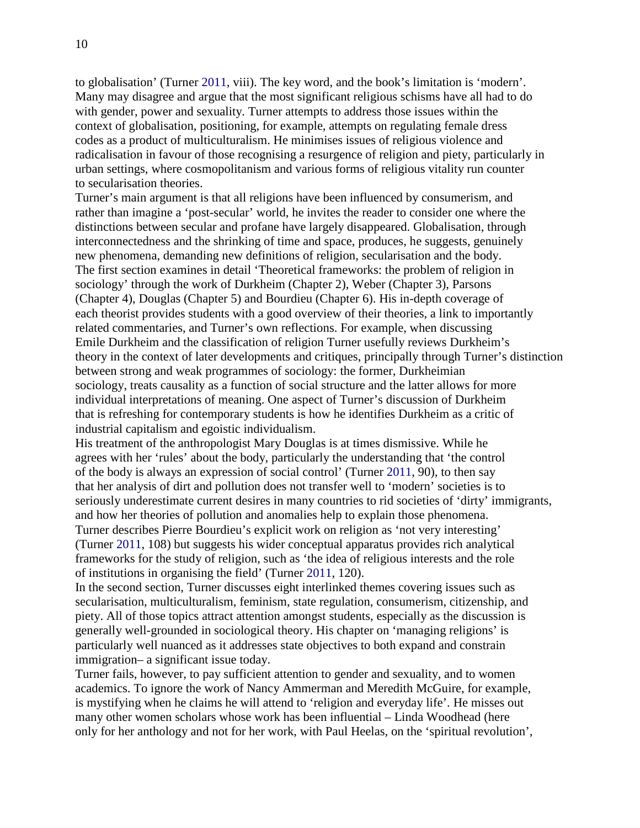to globalisation' (Turner 2011, viii). The key word, and the book's limitation is 'modern'. Many may disagree and argue that the most significant religious schisms have all had to do with gender, power and sexuality. Turner attempts to address those issues within the context of globalisation, positioning, for example, attempts on regulating female dress codes as a product of multiculturalism. He minimises issues of religious violence and radicalisation in favour of those recognising a resurgence of religion and piety, particularly in urban settings, where cosmopolitanism and various forms of religious vitality run counter to secularisation theories.

Turner's main argument is that all religions have been influenced by consumerism, and rather than imagine a 'post-secular' world, he invites the reader to consider one where the distinctions between secular and profane have largely disappeared. Globalisation, through interconnectedness and the shrinking of time and space, produces, he suggests, genuinely new phenomena, demanding new definitions of religion, secularisation and the body. The first section examines in detail 'Theoretical frameworks: the problem of religion in sociology' through the work of Durkheim (Chapter 2), Weber (Chapter 3), Parsons (Chapter 4), Douglas (Chapter 5) and Bourdieu (Chapter 6). His in-depth coverage of each theorist provides students with a good overview of their theories, a link to importantly related commentaries, and Turner's own reflections. For example, when discussing Emile Durkheim and the classification of religion Turner usefully reviews Durkheim's theory in the context of later developments and critiques, principally through Turner's distinction between strong and weak programmes of sociology: the former, Durkheimian sociology, treats causality as a function of social structure and the latter allows for more individual interpretations of meaning. One aspect of Turner's discussion of Durkheim that is refreshing for contemporary students is how he identifies Durkheim as a critic of industrial capitalism and egoistic individualism.

His treatment of the anthropologist Mary Douglas is at times dismissive. While he agrees with her 'rules' about the body, particularly the understanding that 'the control of the body is always an expression of social control' (Turner 2011, 90), to then say that her analysis of dirt and pollution does not transfer well to 'modern' societies is to seriously underestimate current desires in many countries to rid societies of 'dirty' immigrants, and how her theories of pollution and anomalies help to explain those phenomena. Turner describes Pierre Bourdieu's explicit work on religion as 'not very interesting' (Turner 2011, 108) but suggests his wider conceptual apparatus provides rich analytical frameworks for the study of religion, such as 'the idea of religious interests and the role of institutions in organising the field' (Turner 2011, 120).

In the second section, Turner discusses eight interlinked themes covering issues such as secularisation, multiculturalism, feminism, state regulation, consumerism, citizenship, and piety. All of those topics attract attention amongst students, especially as the discussion is generally well-grounded in sociological theory. His chapter on 'managing religions' is particularly well nuanced as it addresses state objectives to both expand and constrain immigration– a significant issue today.

Turner fails, however, to pay sufficient attention to gender and sexuality, and to women academics. To ignore the work of Nancy Ammerman and Meredith McGuire, for example, is mystifying when he claims he will attend to 'religion and everyday life'. He misses out many other women scholars whose work has been influential – Linda Woodhead (here only for her anthology and not for her work, with Paul Heelas, on the 'spiritual revolution',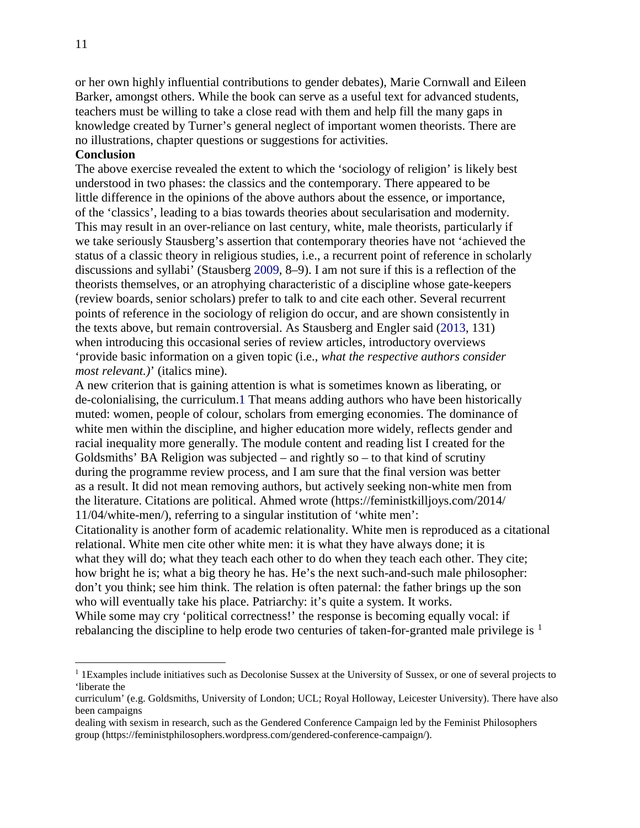or her own highly influential contributions to gender debates), Marie Cornwall and Eileen Barker, amongst others. While the book can serve as a useful text for advanced students, teachers must be willing to take a close read with them and help fill the many gaps in knowledge created by Turner's general neglect of important women theorists. There are no illustrations, chapter questions or suggestions for activities.

## **Conclusion**

The above exercise revealed the extent to which the 'sociology of religion' is likely best understood in two phases: the classics and the contemporary. There appeared to be little difference in the opinions of the above authors about the essence, or importance, of the 'classics', leading to a bias towards theories about secularisation and modernity. This may result in an over-reliance on last century, white, male theorists, particularly if we take seriously Stausberg's assertion that contemporary theories have not 'achieved the status of a classic theory in religious studies, i.e., a recurrent point of reference in scholarly discussions and syllabi' (Stausberg 2009, 8–9). I am not sure if this is a reflection of the theorists themselves, or an atrophying characteristic of a discipline whose gate-keepers (review boards, senior scholars) prefer to talk to and cite each other. Several recurrent points of reference in the sociology of religion do occur, and are shown consistently in the texts above, but remain controversial. As Stausberg and Engler said (2013, 131) when introducing this occasional series of review articles, introductory overviews 'provide basic information on a given topic (i.e., *what the respective authors consider most relevant.)*' (italics mine).

A new criterion that is gaining attention is what is sometimes known as liberating, or de-colonialising, the curriculum.1 That means adding authors who have been historically muted: women, people of colour, scholars from emerging economies. The dominance of white men within the discipline, and higher education more widely, reflects gender and racial inequality more generally. The module content and reading list I created for the Goldsmiths' BA Religion was subjected – and rightly so – to that kind of scrutiny during the programme review process, and I am sure that the final version was better as a result. It did not mean removing authors, but actively seeking non-white men from the literature. Citations are political. Ahmed wrote (https://feministkilljoys.com/2014/ 11/04/white-men/), referring to a singular institution of 'white men':

Citationality is another form of academic relationality. White men is reproduced as a citational relational. White men cite other white men: it is what they have always done; it is what they will do; what they teach each other to do when they teach each other. They cite; how bright he is; what a big theory he has. He's the next such-and-such male philosopher: don't you think; see him think. The relation is often paternal: the father brings up the son who will eventually take his place. Patriarchy: it's quite a system. It works. While some may cry 'political correctness!' the response is becoming equally vocal: if rebalancing the discipline to help erode two centuries of taken-for-granted male privilege is  $<sup>1</sup>$  $<sup>1</sup>$  $<sup>1</sup>$ </sup>

<span id="page-11-0"></span> <sup>1</sup> 1Examples include initiatives such as Decolonise Sussex at the University of Sussex, or one of several projects to 'liberate the

curriculum' (e.g. Goldsmiths, University of London; UCL; Royal Holloway, Leicester University). There have also been campaigns

dealing with sexism in research, such as the Gendered Conference Campaign led by the Feminist Philosophers group (https://feministphilosophers.wordpress.com/gendered-conference-campaign/).